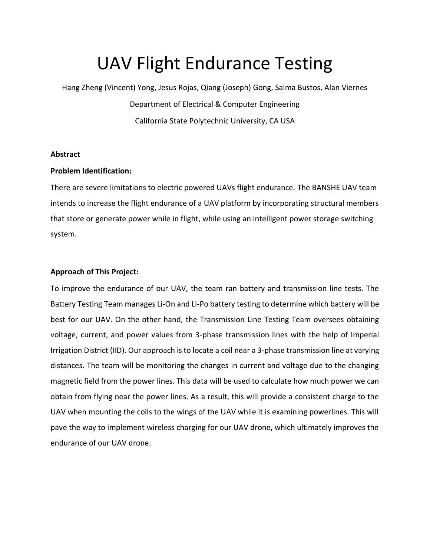# UAV Flight Endurance Testing

Hang Zheng (Vincent) Yong, Jesus Rojas, Qiang (Joseph) Gong, Salma Bustos, Alan Viernes Department of Electrical & Computer Engineering California State Polytechnic University, CA USA

## **Abstract**

## **Problem Identification:**

There are severe limitations to electric powered UAVs flight endurance. The BANSHE UAV team intends to increase the flight endurance of a UAV platform by incorporating structural members that store or generate power while in flight, while using an intelligent power storage switching system.

## **Approach of This Project:**

To improve the endurance of our UAV, the team ran battery and transmission line tests. The Battery Testing Team manages Li-On and Li-Po battery testing to determine which battery will be best for our UAV. On the other hand, the Transmission Line Testing Team oversees obtaining voltage, current, and power values from 3-phase transmission lines with the help of Imperial Irrigation District (IID). Our approach is to locate a coil near a 3-phase transmission line at varying distances. The team will be monitoring the changes in current and voltage due to the changing magnetic field from the power lines. This data will be used to calculate how much power we can obtain from flying near the power lines. As a result, this will provide a consistent charge to the UAV when mounting the coils to the wings of the UAV while it is examining powerlines. This will pave the way to implement wireless charging for our UAV drone, which ultimately improves the endurance of our UAV drone.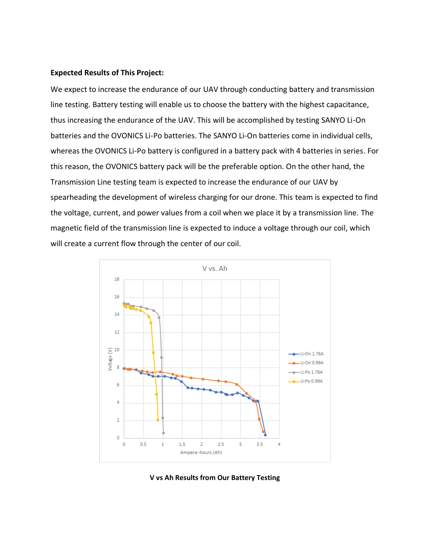#### **Expected Results of This Project:**

We expect to increase the endurance of our UAV through conducting battery and transmission line testing. Battery testing will enable us to choose the battery with the highest capacitance, thus increasing the endurance of the UAV. This will be accomplished by testing SANYO Li-On batteries and the OVONICS Li-Po batteries. The SANYO Li-On batteries come in individual cells, whereas the OVONICS Li-Po battery is configured in a battery pack with 4 batteries in series. For this reason, the OVONICS battery pack will be the preferable option. On the other hand, the Transmission Line testing team is expected to increase the endurance of our UAV by spearheading the development of wireless charging for our drone. This team is expected to find the voltage, current, and power values from a coil when we place it by a transmission line. The magnetic field of the transmission line is expected to induce a voltage through our coil, which will create a current flow through the center of our coil.



**V vs Ah Results from Our Battery Testing**